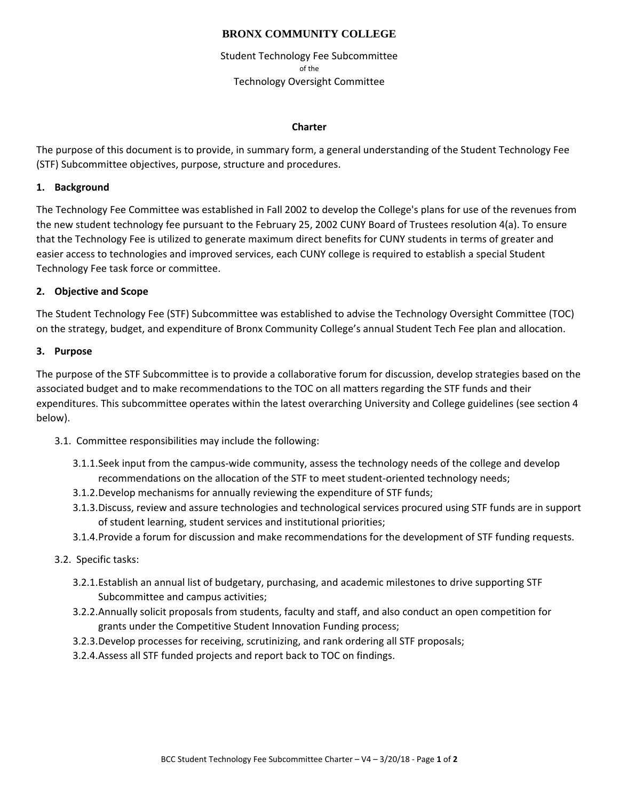## **BRONX COMMUNITY COLLEGE**

Student Technology Fee Subcommittee of the Technology Oversight Committee

#### **Charter**

The purpose of this document is to provide, in summary form, a general understanding of the Student Technology Fee (STF) Subcommittee objectives, purpose, structure and procedures.

## **1. Background**

The Technology Fee Committee was established in Fall 2002 to develop the College's plans for use of the revenues from the new student technology fee pursuant to the February 25, 2002 CUNY Board of Trustees resolution 4(a). To ensure that the Technology Fee is utilized to generate maximum direct benefits for CUNY students in terms of greater and easier access to technologies and improved services, each CUNY college is required to establish a special Student Technology Fee task force or committee.

## **2. Objective and Scope**

The Student Technology Fee (STF) Subcommittee was established to advise the Technology Oversight Committee (TOC) on the strategy, budget, and expenditure of Bronx Community College's annual Student Tech Fee plan and allocation.

#### **3. Purpose**

The purpose of the STF Subcommittee is to provide a collaborative forum for discussion, develop strategies based on the associated budget and to make recommendations to the TOC on all matters regarding the STF funds and their expenditures. This subcommittee operates within the latest overarching University and College guidelines (see section 4 below).

- 3.1. Committee responsibilities may include the following:
	- 3.1.1.Seek input from the campus‐wide community, assess the technology needs of the college and develop recommendations on the allocation of the STF to meet student-oriented technology needs;
	- 3.1.2.Develop mechanisms for annually reviewing the expenditure of STF funds;
	- 3.1.3.Discuss, review and assure technologies and technological services procured using STF funds are in support of student learning, student services and institutional priorities;
	- 3.1.4.Provide a forum for discussion and make recommendations for the development of STF funding requests.
- 3.2. Specific tasks:
	- 3.2.1.Establish an annual list of budgetary, purchasing, and academic milestones to drive supporting STF Subcommittee and campus activities;
	- 3.2.2.Annually solicit proposals from students, faculty and staff, and also conduct an open competition for grants under the Competitive Student Innovation Funding process;
	- 3.2.3.Develop processes for receiving, scrutinizing, and rank ordering all STF proposals;
	- 3.2.4.Assess all STF funded projects and report back to TOC on findings.